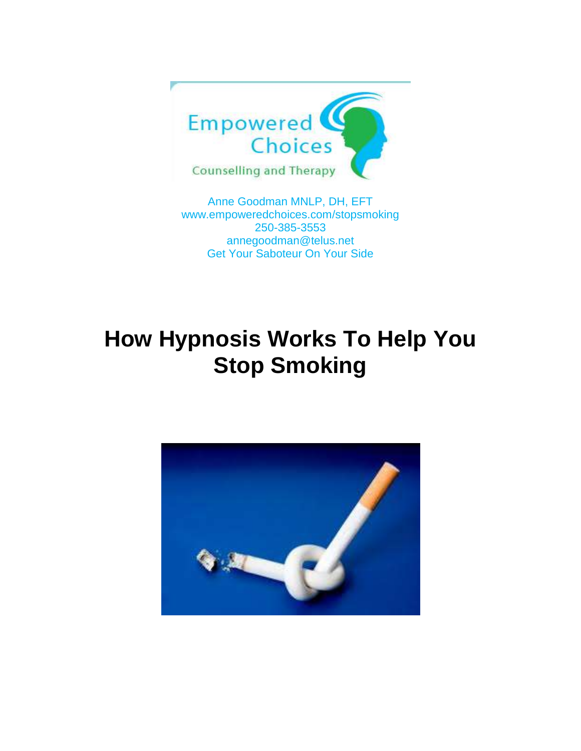

Anne Goodman MNLP, DH, EFT [www.empoweredchoices.com/](http://www.empoweredchoices.com/)stopsmoking 250-385-3553 annegoodman@telus.net Get Your Saboteur On Your Side

# **How Hypnosis Works To Help You Stop Smoking**

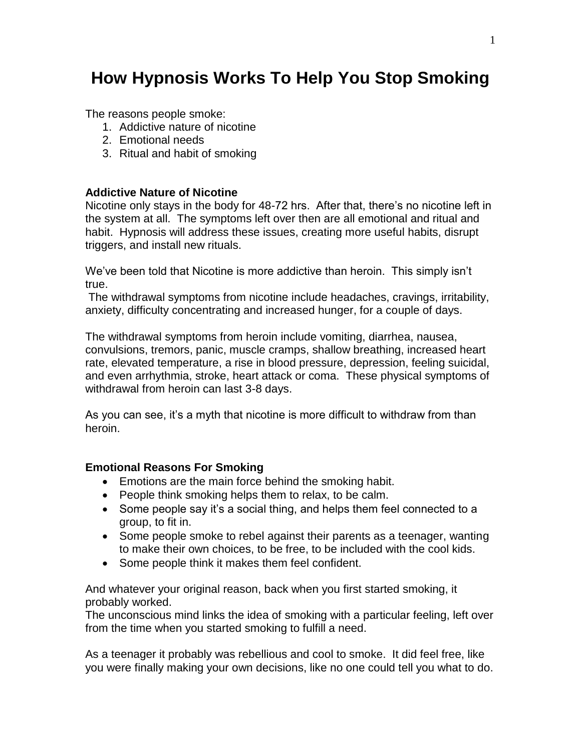## **How Hypnosis Works To Help You Stop Smoking**

The reasons people smoke:

- 1. Addictive nature of nicotine
- 2. Emotional needs
- 3. Ritual and habit of smoking

#### **Addictive Nature of Nicotine**

Nicotine only stays in the body for 48-72 hrs. After that, there's no nicotine left in the system at all. The symptoms left over then are all emotional and ritual and habit. Hypnosis will address these issues, creating more useful habits, disrupt triggers, and install new rituals.

We've been told that Nicotine is more addictive than heroin. This simply isn't true.

The withdrawal symptoms from nicotine include headaches, cravings, irritability, anxiety, difficulty concentrating and increased hunger, for a couple of days.

The withdrawal symptoms from heroin include vomiting, diarrhea, nausea, convulsions, tremors, panic, muscle cramps, shallow breathing, increased heart rate, elevated temperature, a rise in blood pressure, depression, feeling suicidal, and even arrhythmia, stroke, heart attack or coma. These physical symptoms of withdrawal from heroin can last 3-8 days.

As you can see, it's a myth that nicotine is more difficult to withdraw from than heroin.

#### **Emotional Reasons For Smoking**

- Emotions are the main force behind the smoking habit.
- People think smoking helps them to relax, to be calm.
- Some people say it's a social thing, and helps them feel connected to a group, to fit in.
- Some people smoke to rebel against their parents as a teenager, wanting to make their own choices, to be free, to be included with the cool kids.
- Some people think it makes them feel confident.

And whatever your original reason, back when you first started smoking, it probably worked.

The unconscious mind links the idea of smoking with a particular feeling, left over from the time when you started smoking to fulfill a need.

As a teenager it probably was rebellious and cool to smoke. It did feel free, like you were finally making your own decisions, like no one could tell you what to do.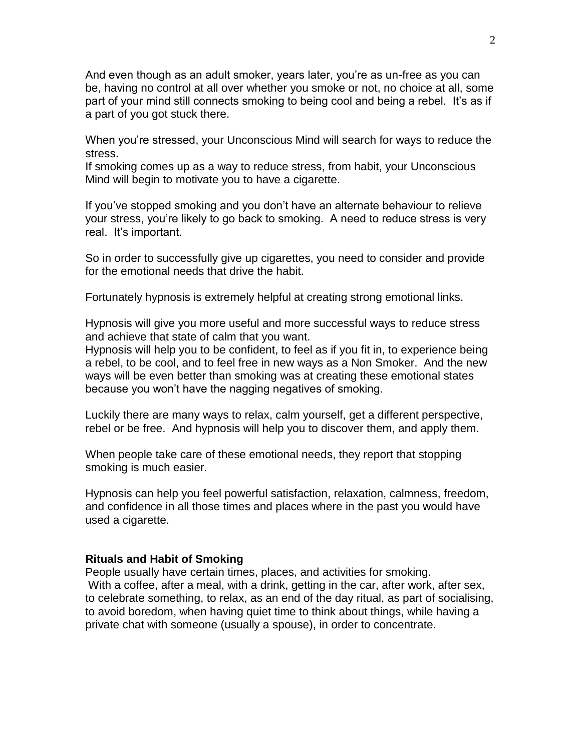And even though as an adult smoker, years later, you're as un-free as you can be, having no control at all over whether you smoke or not, no choice at all, some part of your mind still connects smoking to being cool and being a rebel. It's as if a part of you got stuck there.

When you're stressed, your Unconscious Mind will search for ways to reduce the stress.

If smoking comes up as a way to reduce stress, from habit, your Unconscious Mind will begin to motivate you to have a cigarette.

If you've stopped smoking and you don't have an alternate behaviour to relieve your stress, you're likely to go back to smoking. A need to reduce stress is very real. It's important.

So in order to successfully give up cigarettes, you need to consider and provide for the emotional needs that drive the habit.

Fortunately hypnosis is extremely helpful at creating strong emotional links.

Hypnosis will give you more useful and more successful ways to reduce stress and achieve that state of calm that you want.

Hypnosis will help you to be confident, to feel as if you fit in, to experience being a rebel, to be cool, and to feel free in new ways as a Non Smoker. And the new ways will be even better than smoking was at creating these emotional states because you won't have the nagging negatives of smoking.

Luckily there are many ways to relax, calm yourself, get a different perspective, rebel or be free. And hypnosis will help you to discover them, and apply them.

When people take care of these emotional needs, they report that stopping smoking is much easier.

Hypnosis can help you feel powerful satisfaction, relaxation, calmness, freedom, and confidence in all those times and places where in the past you would have used a cigarette.

#### **Rituals and Habit of Smoking**

People usually have certain times, places, and activities for smoking. With a coffee, after a meal, with a drink, getting in the car, after work, after sex, to celebrate something, to relax, as an end of the day ritual, as part of socialising, to avoid boredom, when having quiet time to think about things, while having a private chat with someone (usually a spouse), in order to concentrate.